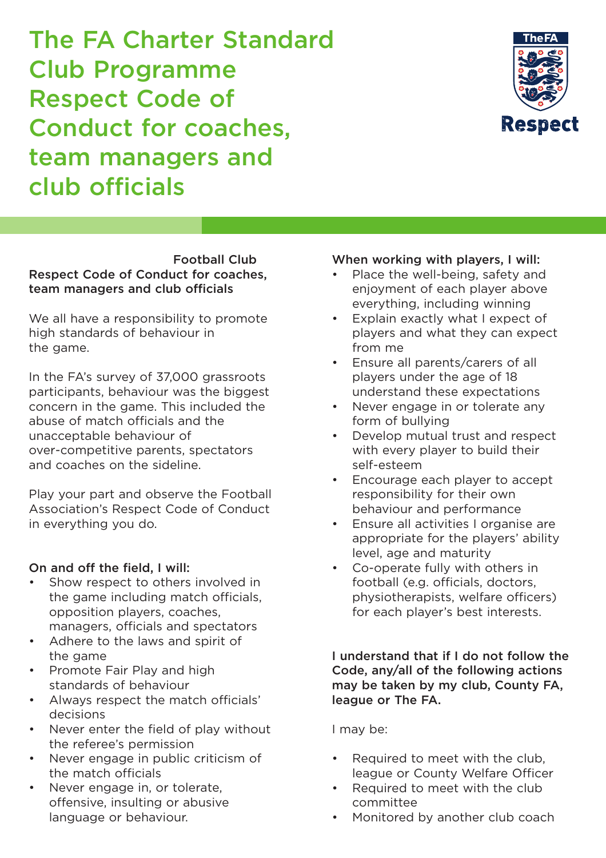The FA Charter Standard Club Programme Respect Code of Conduct for coaches, team managers and club officials



#### Football Club Respect Code of Conduct for coaches, team managers and club officials

We all have a responsibility to promote high standards of behaviour in the game.

In the FA's survey of 37,000 grassroots participants, behaviour was the biggest concern in the game. This included the abuse of match officials and the unacceptable behaviour of over-competitive parents, spectators and coaches on the sideline.

Play your part and observe the Football Association's Respect Code of Conduct in everything you do.

## On and off the field, I will:

- Show respect to others involved in the game including match officials, opposition players, coaches, managers, officials and spectators
- Adhere to the laws and spirit of the game
- Promote Fair Play and high standards of behaviour
- Always respect the match officials' decisions
- Never enter the field of play without the referee's permission
- Never engage in public criticism of the match officials
- Never engage in, or tolerate, offensive, insulting or abusive language or behaviour.

# When working with players, I will:

- Place the well-being, safety and enjoyment of each player above everything, including winning
- Explain exactly what I expect of players and what they can expect from me
- Ensure all parents/carers of all players under the age of 18 understand these expectations
- Never engage in or tolerate any form of bullying
- Develop mutual trust and respect with every player to build their self-esteem
- Encourage each player to accept responsibility for their own behaviour and performance
- Ensure all activities I organise are appropriate for the players' ability level, age and maturity
- Co-operate fully with others in football (e.g. officials, doctors, physiotherapists, welfare officers) for each player's best interests.

### I understand that if I do not follow the Code, any/all of the following actions may be taken by my club, County FA, league or The FA.

## I may be:

- Required to meet with the club. league or County Welfare Officer
- Required to meet with the club committee
- Monitored by another club coach